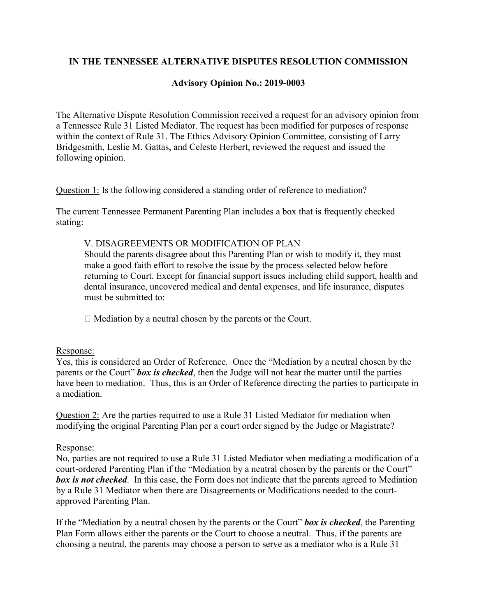# **IN THE TENNESSEE ALTERNATIVE DISPUTES RESOLUTION COMMISSION**

# **Advisory Opinion No.: 2019-0003**

The Alternative Dispute Resolution Commission received a request for an advisory opinion from a Tennessee Rule 31 Listed Mediator. The request has been modified for purposes of response within the context of Rule 31. The Ethics Advisory Opinion Committee, consisting of Larry Bridgesmith, Leslie M. Gattas, and Celeste Herbert, reviewed the request and issued the following opinion.

Question 1: Is the following considered a standing order of reference to mediation?

The current Tennessee Permanent Parenting Plan includes a box that is frequently checked stating:

# V. DISAGREEMENTS OR MODIFICATION OF PLAN

Should the parents disagree about this Parenting Plan or wish to modify it, they must make a good faith effort to resolve the issue by the process selected below before returning to Court. Except for financial support issues including child support, health and dental insurance, uncovered medical and dental expenses, and life insurance, disputes must be submitted to:

 $\Box$  Mediation by a neutral chosen by the parents or the Court.

#### Response:

Yes, this is considered an Order of Reference. Once the "Mediation by a neutral chosen by the parents or the Court" *box is checked*, then the Judge will not hear the matter until the parties have been to mediation. Thus, this is an Order of Reference directing the parties to participate in a mediation.

Question 2: Are the parties required to use a Rule 31 Listed Mediator for mediation when modifying the original Parenting Plan per a court order signed by the Judge or Magistrate?

# Response:

No, parties are not required to use a Rule 31 Listed Mediator when mediating a modification of a court-ordered Parenting Plan if the "Mediation by a neutral chosen by the parents or the Court" *box is not checked*. In this case, the Form does not indicate that the parents agreed to Mediation by a Rule 31 Mediator when there are Disagreements or Modifications needed to the courtapproved Parenting Plan.

If the "Mediation by a neutral chosen by the parents or the Court" *box is checked*, the Parenting Plan Form allows either the parents or the Court to choose a neutral. Thus, if the parents are choosing a neutral, the parents may choose a person to serve as a mediator who is a Rule 31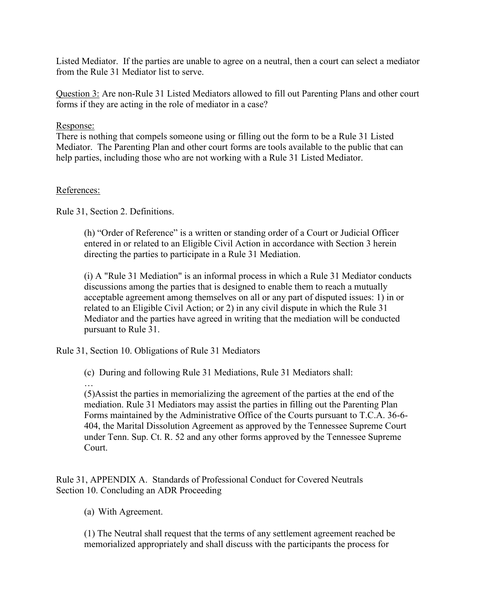Listed Mediator. If the parties are unable to agree on a neutral, then a court can select a mediator from the Rule 31 Mediator list to serve.

Question 3: Are non-Rule 31 Listed Mediators allowed to fill out Parenting Plans and other court forms if they are acting in the role of mediator in a case?

### Response:

There is nothing that compels someone using or filling out the form to be a Rule 31 Listed Mediator. The Parenting Plan and other court forms are tools available to the public that can help parties, including those who are not working with a Rule 31 Listed Mediator.

### References:

Rule 31, Section 2. Definitions.

(h) "Order of Reference" is a written or standing order of a Court or Judicial Officer entered in or related to an Eligible Civil Action in accordance with Section 3 herein directing the parties to participate in a Rule 31 Mediation.

(i) A "Rule 31 Mediation" is an informal process in which a Rule 31 Mediator conducts discussions among the parties that is designed to enable them to reach a mutually acceptable agreement among themselves on all or any part of disputed issues: 1) in or related to an Eligible Civil Action; or 2) in any civil dispute in which the Rule 31 Mediator and the parties have agreed in writing that the mediation will be conducted pursuant to Rule 31.

Rule 31, Section 10. Obligations of Rule 31 Mediators

(c) During and following Rule 31 Mediations, Rule 31 Mediators shall:

…

(5)Assist the parties in memorializing the agreement of the parties at the end of the mediation. Rule 31 Mediators may assist the parties in filling out the Parenting Plan Forms maintained by the Administrative Office of the Courts pursuant to T.C.A. 36-6- 404, the Marital Dissolution Agreement as approved by the Tennessee Supreme Court under Tenn. Sup. Ct. R. 52 and any other forms approved by the Tennessee Supreme Court.

Rule 31, APPENDIX A. Standards of Professional Conduct for Covered Neutrals Section 10. Concluding an ADR Proceeding

(a) With Agreement.

(1) The Neutral shall request that the terms of any settlement agreement reached be memorialized appropriately and shall discuss with the participants the process for